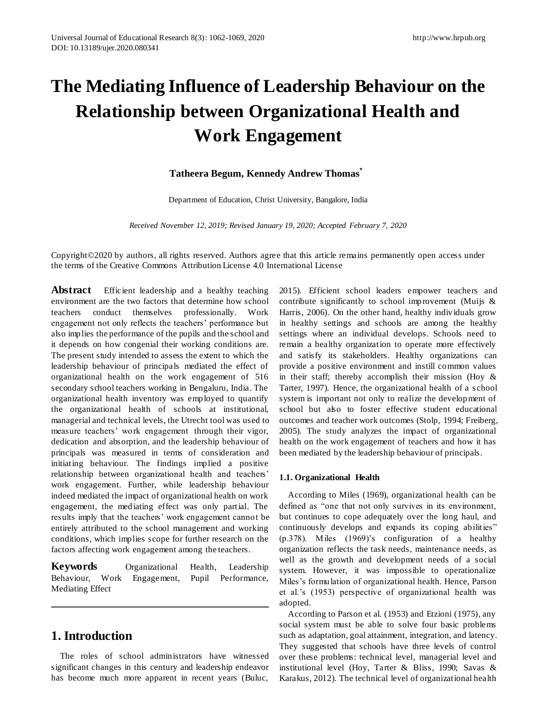# **The Mediating Influence of Leadership Behaviour on the Relationship between Organizational Health and Work Engagement**

### **Tatheera Begum, Kennedy Andrew Thomas\***

Department of Education, Christ University, Bangalore, India

*Received November 12, 2019; Revised January 19, 2020; Accepted February 7, 2020*

Copyright©2020 by authors, all rights reserved. Authors agree that this article remains permanently open access under the terms of the Creative Commons Attribution License 4.0 International License

**Abstract** Efficient leadership and a healthy teaching environment are the two factors that determine how school teachers conduct themselves professionally. Work engagement not only reflects the teachers' performance but also implies the performance of the pupils and the school and it depends on how congenial their working conditions are. The present study intended to assess the extent to which the leadership behaviour of principals mediated the effect of organizational health on the work engagement of 516 secondary school teachers working in Bengaluru, India. The organizational health inventory was employed to quantify the organizational health of schools at institutional, managerial and technical levels, the Utrecht tool was used to measure teachers' work engagement through their vigor, dedication and absorption, and the leadership behaviour of principals was measured in terms of consideration and initiating behaviour. The findings implied a positive relationship between organizational health and teachers' work engagement. Further, while leadership behaviour indeed mediated the impact of organizational health on work engagement, the mediating effect was only partial. The results imply that the teachers' work engagement cannot be entirely attributed to the school management and working conditions, which implies scope for further research on the factors affecting work engagement among the teachers.

**Keywords** Organizational Health, Leadership Behaviour, Work Engagement, Pupil Performance, Mediating Effect

# **1. Introduction**

The roles of school administrators have witnessed significant changes in this century and leadership endeavor has become much more apparent in recent years (Buluc,

2015). Efficient school leaders empower teachers and contribute significantly to school improvement (Muijs & Harris, 2006). On the other hand, healthy individuals grow in healthy settings and schools are among the healthy settings where an individual develops. Schools need to remain a healthy organization to operate more effectively and satisfy its stakeholders. Healthy organizations can provide a positive environment and instill common values in their staff; thereby accomplish their mission (Hoy  $\&$ Tarter, 1997). Hence, the organizational health of a s chool system is important not only to realize the development of school but also to foster effective student educational outcomes and teacher work outcomes (Stolp, 1994; Freiberg, 2005). The study analyzes the impact of organizational health on the work engagement of teachers and how it has been mediated by the leadership behaviour of principals.

#### **1.1. Organizational Health**

According to Miles (1969), organizational health can be defined as "one that not only survives in its environment, but continues to cope adequately over the long haul, and continuously develops and expands its coping abilities" (p.378). Miles (1969)'s configuration of a healthy organization reflects the task needs, maintenance needs, as well as the growth and development needs of a social system. However, it was impossible to operationalize Miles's formulation of organizational health. Hence, Parson et al.'s (1953) perspective of organizational health was adopted.

According to Parson et al. (1953) and Etzioni (1975), any social system must be able to solve four basic problems such as adaptation, goal attainment, integration, and latency. They suggested that schools have three levels of control over these problems: technical level, managerial level and institutional level (Hoy, Tarter & Bliss, 1990; Savas & Karakus, 2012). The technical level of organizational health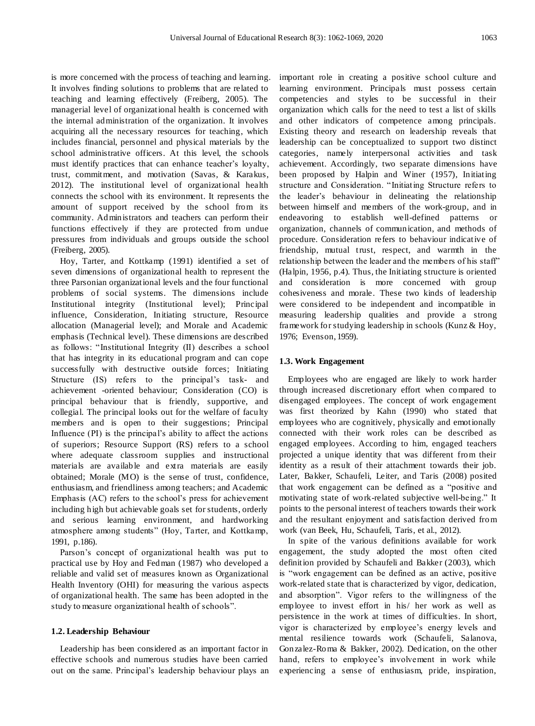is more concerned with the process of teaching and learning. It involves finding solutions to problems that are related to teaching and learning effectively (Freiberg, 2005). The managerial level of organizational health is concerned with the internal administration of the organization. It involves acquiring all the necessary resources for teaching, which includes financial, personnel and physical materials by the school administrative officers. At this level, the schools must identify practices that can enhance teacher's loyalty, trust, commitment, and motivation (Savas, & Karakus, 2012). The institutional level of organizational health connects the school with its environment. It represents the amount of support received by the school from its community. Administrators and teachers can perform their functions effectively if they are protected from undue pressures from individuals and groups outside the school (Freiberg, 2005).

Hoy, Tarter, and Kottkamp (1991) identified a set of seven dimensions of organizational health to represent the three Parsonian organizational levels and the four functional problems of social systems. The dimensions include Institutional integrity (Institutional level); Principal influence, Consideration, Initiating structure, Resource allocation (Managerial level); and Morale and Academic emphasis (Technical level). These dimensions are described as follows: "Institutional Integrity (II) describes a school that has integrity in its educational program and can cope successfully with destructive outside forces; Initiating Structure (IS) refers to the principal's task- and achievement -oriented behaviour; Consideration (CO) is principal behaviour that is friendly, supportive, and collegial. The principal looks out for the welfare of faculty members and is open to their suggestions; Principal Influence (PI) is the principal's ability to affect the actions of superiors; Resource Support (RS) refers to a school where adequate classroom supplies and instructional materials are available and extra materials are easily obtained; Morale (MO) is the sense of trust, confidence, enthusiasm, and friendliness among teachers; and Academic Emphasis (AC) refers to the school's press for achievement including high but achievable goals set for students, orderly and serious learning environment, and hardworking atmosphere among students" (Hoy, Tarter, and Kottkamp, 1991, p.186).

Parson's concept of organizational health was put to practical use by Hoy and Fedman (1987) who developed a reliable and valid set of measures known as Organizational Health Inventory (OHI) for measuring the various aspects of organizational health. The same has been adopted in the study to measure organizational health of schools".

#### **1.2. Leadership Behaviour**

Leadership has been considered as an important factor in effective schools and numerous studies have been carried out on the same. Principal's leadership behaviour plays an important role in creating a positive school culture and learning environment. Principals must possess certain competencies and styles to be successful in their organization which calls for the need to test a list of skills and other indicators of competence among principals. Existing theory and research on leadership reveals that leadership can be conceptualized to support two distinct categories, namely interpersonal activities and task achievement. Accordingly, two separate dimensions have been proposed by Halpin and Winer (1957), Initiating structure and Consideration. "Initiating Structure refers to the leader's behaviour in delineating the relationship between himself and members of the work-group, and in endeavoring to establish well-defined patterns or organization, channels of communication, and methods of procedure. Consideration refers to behaviour indicative of friendship, mutual trust, respect, and warmth in the relationship between the leader and the members of his staff" (Halpin, 1956, p.4). Thus, the Initiating structure is oriented and consideration is more concerned with group cohesiveness and morale. These two kinds of leadership were considered to be independent and incompatible in measuring leadership qualities and provide a strong framework for studying leadership in schools (Kunz & Hoy, 1976; Evenson, 1959).

#### **1.3. Work Engagement**

Employees who are engaged are likely to work harder through increased discretionary effort when compared to disengaged employees. The concept of work engagement was first theorized by Kahn (1990) who stated that employees who are cognitively, physically and emotionally connected with their work roles can be described as engaged employees. According to him, engaged teachers projected a unique identity that was different from their identity as a result of their attachment towards their job. Later, Bakker, Schaufeli, Leiter, and Taris (2008) posited that work engagement can be defined as a "positive and motivating state of work-related subjective well-being." It points to the personal interest of teachers towards their work and the resultant enjoyment and satisfaction derived from work (van Beek, Hu, Schaufeli, Taris, et al., 2012).

In spite of the various definitions available for work engagement, the study adopted the most often cited definition provided by Schaufeli and Bakker (2003), which is "work engagement can be defined as an active, positive work-related state that is characterized by vigor, dedication, and absorption". Vigor refers to the willingness of the employee to invest effort in his/ her work as well as persistence in the work at times of difficulties. In short, vigor is characterized by employee's energy levels and mental resilience towards work (Schaufeli, Salanova, Gonzalez-Roma & Bakker, 2002). Dedication, on the other hand, refers to employee's involvement in work while experiencing a sense of enthusiasm, pride, inspiration,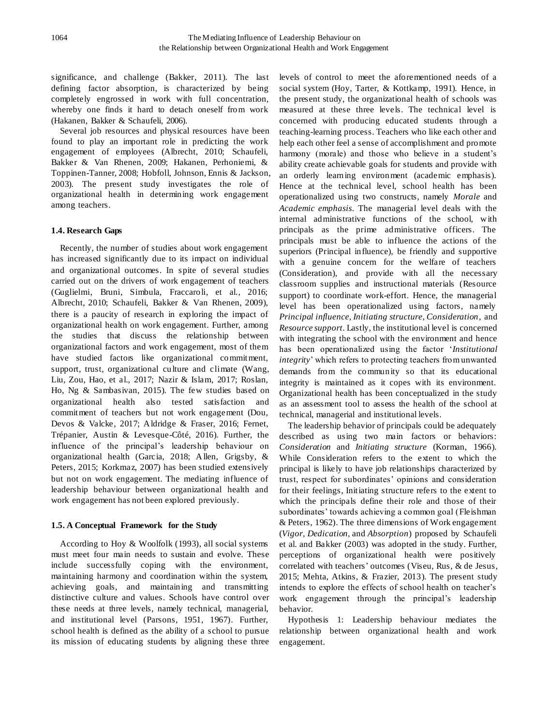significance, and challenge (Bakker, 2011). The last defining factor absorption, is characterized by being completely engrossed in work with full concentration, whereby one finds it hard to detach oneself from work (Hakanen, Bakker & Schaufeli, 2006).

Several job resources and physical resources have been found to play an important role in predicting the work engagement of employees (Albrecht, 2010; Schaufeli, Bakker & Van Rhenen, 2009; Hakanen, Perhoniemi, & Toppinen-Tanner, 2008; Hobfoll, Johnson, Ennis & Jackson, 2003). The present study investigates the role of organizational health in determining work engagement among teachers.

#### **1.4. Research Gaps**

Recently, the number of studies about work engagement has increased significantly due to its impact on individual and organizational outcomes. In spite of several studies carried out on the drivers of work engagement of teachers (Guglielmi, Bruni, Simbula, Fraccaroli, et al., 2016; Albrecht, 2010; Schaufeli, Bakker & Van Rhenen, 2009), there is a paucity of research in exploring the impact of organizational health on work engagement. Further, among the studies that discuss the relationship between organizational factors and work engagement, most of them have studied factors like organizational commitment, support, trust, organizational culture and climate (Wang, Liu, Zou, Hao, et al., 2017; Nazir & Islam, 2017; Roslan, Ho, Ng & Sambasivan, 2015). The few studies based on organizational health also tested satisfaction and commitment of teachers but not work engagement (Dou, Devos & Valcke, 2017; Aldridge & Fraser, 2016; Fernet, Trépanier, Austin & Levesque-Côté, 2016). Further, the influence of the principal's leadership behaviour on organizational health (Garcia, 2018; Allen, Grigsby, & Peters, 2015; Korkmaz, 2007) has been studied extensively but not on work engagement. The mediating influence of leadership behaviour between organizational health and work engagement has not been explored previously.

#### **1.5. A Conceptual Framework for the Study**

According to Hoy & Woolfolk (1993), all social systems must meet four main needs to sustain and evolve. These include successfully coping with the environment, maintaining harmony and coordination within the system, achieving goals, and maintaining and transmitting distinctive culture and values. Schools have control over these needs at three levels, namely technical, managerial, and institutional level (Parsons, 1951, 1967). Further, school health is defined as the ability of a school to pursue its mission of educating students by aligning these three

levels of control to meet the aforementioned needs of a social system (Hoy, Tarter, & Kottkamp, 1991). Hence, in the present study, the organizational health of schools was measured at these three levels. The technical level is concerned with producing educated students through a teaching-learning process. Teachers who like each other and help each other feel a sense of accomplishment and promote harmony (morale) and those who believe in a student's ability create achievable goals for students and provide with an orderly learning environment (academic emphasis). Hence at the technical level, school health has been operationalized using two constructs, namely *Morale* and *Academic emphasis*. The managerial level deals with the internal administrative functions of the school, with principals as the prime administrative officers. The principals must be able to influence the actions of the superiors (Principal influence), be friendly and supportive with a genuine concern for the welfare of teachers (Consideration), and provide with all the necessary classroom supplies and instructional materials (Resource support) to coordinate work-effort. Hence, the managerial level has been operationalized using factors, namely *Principal influence, Initiating structure, Consideration*, and *Resource support*. Lastly, the institutional level is concerned with integrating the school with the environment and hence has been operationalized using the factor '*Institutional integrity*' which refers to protecting teachers from unwanted demands from the community so that its educational integrity is maintained as it copes with its environment. Organizational health has been conceptualized in the study as an assessment tool to assess the health of the school at technical, managerial and institutional levels.

The leadership behavior of principals could be adequately described as using two main factors or behaviors: *Consideration* and *Initiating structure* (Korman, 1966). While Consideration refers to the extent to which the principal is likely to have job relationships characterized by trust, respect for subordinates' opinions and consideration for their feelings, Initiating structure refers to the extent to which the principals define their role and those of their subordinates' towards achieving a common goal (Fleishman & Peters, 1962). The three dimensions of Work engagement (*Vigor, Dedication,* and *Absorption*) proposed by Schaufeli et al. and Bakker (2003) was adopted in the study. Further, perceptions of organizational health were positively correlated with teachers' outcomes (Viseu, Rus, & de Jesus, 2015; Mehta, Atkins, & Frazier, 2013). The present study intends to explore the effects of school health on teacher's work engagement through the principal's leadership behavior.

Hypothesis 1: Leadership behaviour mediates the relationship between organizational health and work engagement.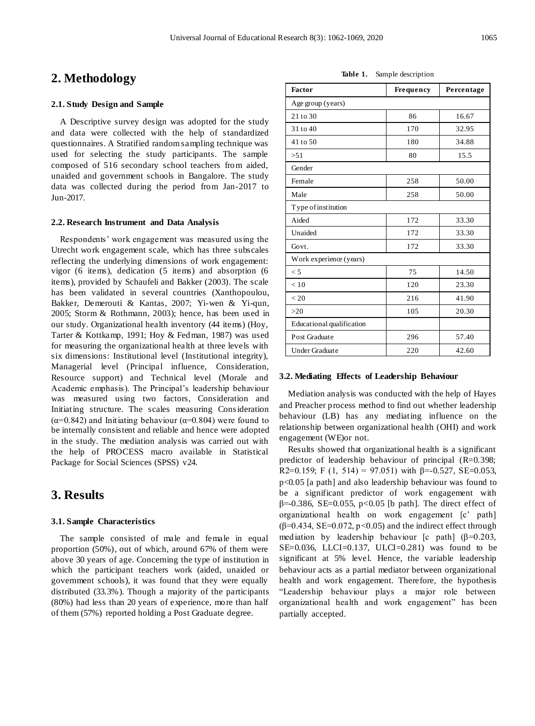## **2. Methodology**

#### **2.1. Study Design and Sample**

A Descriptive survey design was adopted for the study and data were collected with the help of standardized questionnaires. A Stratified random sampling technique was used for selecting the study participants. The sample composed of 516 secondary school teachers from aided, unaided and government schools in Bangalore. The study data was collected during the period from Jan-2017 to Jun-2017.

#### **2.2. Research Instrument and Data Analysis**

Respondents' work engagement was measured using the Utrecht work engagement scale, which has three subscales reflecting the underlying dimensions of work engagement: vigor (6 items), dedication (5 items) and absorption (6 items), provided by Schaufeli and Bakker (2003). The scale has been validated in several countries (Xanthopoulou, Bakker, Demerouti & Kantas, 2007; Yi-wen & Yi-qun, 2005; Storm & Rothmann, 2003); hence, has been used in our study. Organizational health inventory (44 items) (Hoy, Tarter & Kottkamp, 1991; Hoy & Fedman, 1987) was used for measuring the organizational health at three levels with six dimensions: Institutional level (Institutional integrity), Managerial level (Principal influence, Consideration, Resource support) and Technical level (Morale and Academic emphasis). The Principal's leadership behaviour was measured using two factors, Consideration and Initiating structure. The scales measuring Consideration  $(\alpha=0.842)$  and Initiating behaviour  $(\alpha=0.804)$  were found to be internally consistent and reliable and hence were adopted in the study. The mediation analysis was carried out with the help of PROCESS macro available in Statistical Package for Social Sciences (SPSS) v24.

## **3. Results**

#### **3.1. Sample Characteristics**

The sample consisted of male and female in equal proportion (50%), out of which, around 67% of them were above 30 years of age. Concerning the type of institution in which the participant teachers work (aided, unaided or government schools), it was found that they were equally distributed (33.3%). Though a majority of the participants (80%) had less than 20 years of experience, more than half of them (57%) reported holding a Post Graduate degree.

**Table 1.** Sample description

| Factor                    | Frequency | Percentage |  |  |
|---------------------------|-----------|------------|--|--|
| Age group (years)         |           |            |  |  |
| 21 to 30                  | 86        | 16.67      |  |  |
| 31 to 40                  | 170       | 32.95      |  |  |
| 41 to 50                  | 180       | 34.88      |  |  |
| >51                       | 80        | 15.5       |  |  |
| Gender                    |           |            |  |  |
| Female                    | 258       | 50.00      |  |  |
| Male                      | 258       | 50.00      |  |  |
| Type of institution       |           |            |  |  |
| Aided                     | 172       | 33.30      |  |  |
| Unaided                   | 172       | 33.30      |  |  |
| Govt.                     | 172       | 33.30      |  |  |
| Work experience (years)   |           |            |  |  |
| < 5                       | 75        | 14.50      |  |  |
| < 10                      | 120       | 23.30      |  |  |
| < 20                      | 216       | 41.90      |  |  |
| >20                       | 105       | 20.30      |  |  |
| Educational qualification |           |            |  |  |
| Post Graduate             | 296       | 57.40      |  |  |
| Under Graduate            | 220       | 42.60      |  |  |

#### **3.2. Mediating Effects of Leadership Behaviour**

Mediation analysis was conducted with the help of Hayes and Preacher process method to find out whether leadership behaviour (LB) has any mediating influence on the relationship between organizational health (OHI) and work engagement (WE)or not.

Results showed that organizational health is a significant predictor of leadership behaviour of principal (R=0.398; R2=0.159; F (1, 514) = 97.051) with  $\beta$ =-0.527, SE=0.053, p<0.05 [a path] and also leadership behaviour was found to be a significant predictor of work engagement with  $β=0.386$ , SE=0.055, p<0.05 [b path]. The direct effect of organizational health on work engagement [c' path] ( $\beta$ =0.434, SE=0.072, p<0.05) and the indirect effect through mediation by leadership behaviour [c path]  $(\beta=0.203,$ SE=0.036, LLCI=0.137, ULCI=0.281) was found to be significant at 5% level. Hence, the variable leadership behaviour acts as a partial mediator between organizational health and work engagement. Therefore, the hypothesis "Leadership behaviour plays a major role between organizational health and work engagement" has been partially accepted.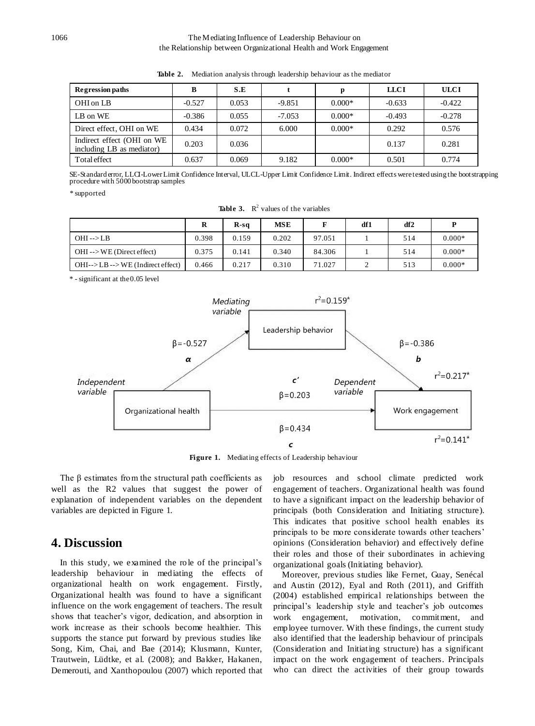#### 1066 The Mediating Influence of Leadership Behaviour on the Relationship between Organizational Health and Work Engagement

| <b>Regression paths</b>                                 | B        | S.E   |          |          | <b>LLCI</b> | <b>ULCI</b> |
|---------------------------------------------------------|----------|-------|----------|----------|-------------|-------------|
| OHI on LB                                               | $-0.527$ | 0.053 | $-9.851$ | $0.000*$ | $-0.633$    | $-0.422$    |
| LB on WE                                                | $-0.386$ | 0.055 | $-7.053$ | $0.000*$ | $-0.493$    | $-0.278$    |
| Direct effect, OHI on WE                                | 0.434    | 0.072 | 6.000    | $0.000*$ | 0.292       | 0.576       |
| Indirect effect (OHI on WE<br>including LB as mediator) | 0.203    | 0.036 |          |          | 0.137       | 0.281       |
| Total effect                                            | 0.637    | 0.069 | 9.182    | $0.000*$ | 0.501       | 0.774       |

**Table 2.** Mediation analysis through leadership behaviour as the mediator

SE-Standard error, LLCI-Lower Limit Confidence Interval, ULCL-Upper Limit Confidence Limit. Indirect effects were tested using the bootstrapping procedure with 5000 bootstrap samples

*\** supported

|  | <b>Table 3.</b> $\mathbb{R}^2$ values of the variables |
|--|--------------------------------------------------------|
|  |                                                        |

|                                                     | R     | $R-sq$ | <b>MSE</b> |        | df1 | df <sub>2</sub> |          |
|-----------------------------------------------------|-------|--------|------------|--------|-----|-----------------|----------|
| $OHI \rightarrow LB$                                | 0.398 | 0.159  | 0.202      | 97.051 |     | 514             | $0.000*$ |
| $OHI \rightarrow WE$ (Direct effect)                | 0.375 | 0.141  | 0.340      | 84.306 |     | 514             | $0.000*$ |
| $OHI\rightarrow LB\rightarrow WE$ (Indirect effect) | 0.466 | 0.217  | 0.310      | 71.027 |     | 513             | $0.000*$ |

\* - significant at the 0.05 level



**Figure 1.** Mediating effects of Leadership behaviour

The  $\beta$  estimates from the structural path coefficients as well as the R2 values that suggest the power of explanation of independent variables on the dependent variables are depicted in Figure 1.

## **4. Discussion**

In this study, we examined the role of the principal's leadership behaviour in mediating the effects of organizational health on work engagement. Firstly, Organizational health was found to have a significant influence on the work engagement of teachers. The result shows that teacher's vigor, dedication, and absorption in work increase as their schools become healthier. This supports the stance put forward by previous studies like Song, Kim, Chai, and Bae (2014); Klusmann, Kunter, Trautwein, Lüdtke, et al. (2008); and Bakker, Hakanen, Demerouti, and Xanthopoulou (2007) which reported that job resources and school climate predicted work engagement of teachers. Organizational health was found to have a significant impact on the leadership behavior of principals (both Consideration and Initiating structure). This indicates that positive school health enables its principals to be more considerate towards other teachers' opinions (Consideration behavior) and effectively define their roles and those of their subordinates in achieving organizational goals (Initiating behavior).

Moreover, previous studies like Fernet, Guay, Senécal and Austin (2012), Eyal and Roth (2011), and Griffith (2004) established empirical relationships between the principal's leadership style and teacher's job outcomes work engagement, motivation, commitment, and employee turnover. With these findings, the current study also identified that the leadership behaviour of principals (Consideration and Initiating structure) has a significant impact on the work engagement of teachers. Principals who can direct the activities of their group towards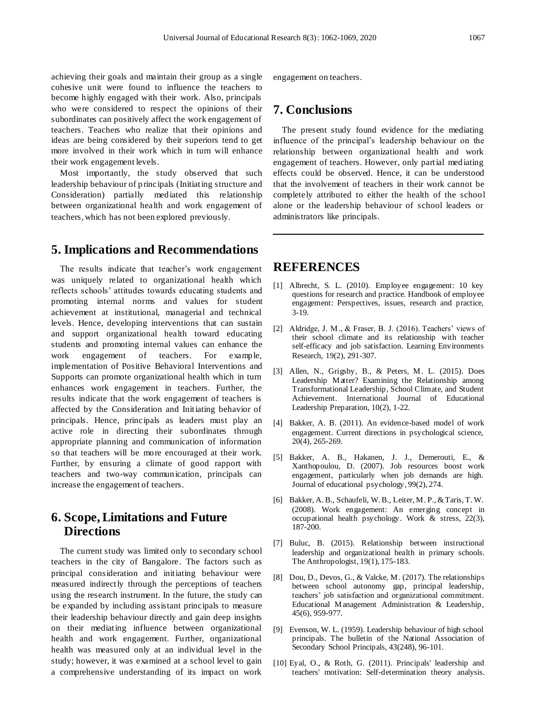achieving their goals and maintain their group as a single cohesive unit were found to influence the teachers to become highly engaged with their work. Also, principals who were considered to respect the opinions of their subordinates can positively affect the work engagement of teachers. Teachers who realize that their opinions and ideas are being considered by their superiors tend to get more involved in their work which in turn will enhance their work engagement levels.

Most importantly, the study observed that such leadership behaviour of principals (Initiating structure and Consideration) partially mediated this relationship between organizational health and work engagement of teachers, which has not been explored previously.

## **5. Implications and Recommendations**

The results indicate that teacher's work engagement was uniquely related to organizational health which reflects schools' attitudes towards educating students and promoting internal norms and values for student achievement at institutional, managerial and technical levels. Hence, developing interventions that can sustain and support organizational health toward educating students and promoting internal values can enhance the work engagement of teachers. For example, implementation of Positive Behavioral Interventions and Supports can promote organizational health which in turn enhances work engagement in teachers. Further, the results indicate that the work engagement of teachers is affected by the Consideration and Initiating behavior of principals. Hence, principals as leaders must play an active role in directing their subordinates through appropriate planning and communication of information so that teachers will be more encouraged at their work. Further, by ensuring a climate of good rapport with teachers and two-way communication, principals can increase the engagement of teachers.

# **6. Scope, Limitations and Future Directions**

The current study was limited only to secondary school teachers in the city of Bangalore. The factors such as principal consideration and initiating behaviour were measured indirectly through the perceptions of teachers using the research instrument. In the future, the study can be expanded by including assistant principals to measure their leadership behaviour directly and gain deep insights on their mediating influence between organizational health and work engagement. Further, organizational health was measured only at an individual level in the study; however, it was examined at a school level to gain a comprehensive understanding of its impact on work

engagement on teachers.

## **7. Conclusions**

The present study found evidence for the mediating influence of the principal's leadership behaviour on the relationship between organizational health and work engagement of teachers. However, only partial mediating effects could be observed. Hence, it can be understood that the involvement of teachers in their work cannot be completely attributed to either the health of the school alone or the leadership behaviour of school leaders or administrators like principals.

## **REFERENCES**

- [1] Albrecht, S. L. (2010). Employee engagement: 10 key questions for research and practice. Handbook of employee engagement: Perspectives, issues, research and practice, 3-19.
- [2] Aldridge, J. M., & Fraser, B. J. (2016). Teachers' views of their school climate and its relationship with teacher self-efficacy and job satisfaction. Learning Environments Research, 19(2), 291-307.
- [3] Allen, N., Grigsby, B., & Peters, M. L. (2015). Does Leadership Matter? Examining the Relationship among Transformational Leadership, School Climate, and Student Achievement. International Journal of Educational Leadership Preparation, 10(2), 1-22.
- [4] Bakker, A. B. (2011). An evidence-based model of work engagement. Current directions in psychological science, 20(4), 265-269.
- [5] Bakker, A. B., Hakanen, J. J., Demerouti, E., & Xanthopoulou, D. (2007). Job resources boost work engagement, particularly when job demands are high. Journal of educational psychology, 99(2), 274.
- [6] Bakker, A. B., Schaufeli, W. B., Leiter, M. P., & Taris, T. W. (2008). Work engagement: An emerging concept in occupational health psychology. Work & stress, 22(3), 187-200.
- [7] Buluc, B. (2015). Relationship between instructional leadership and organizational health in primary schools. The Anthropologist, 19(1), 175-183.
- [8] Dou, D., Devos, G., & Valcke, M. (2017). The relationships between school autonomy gap, principal leadership, teachers' job satisfaction and organizational commitment. Educational Management Administration & Leadership, 45(6), 959-977.
- [9] Evenson, W. L. (1959). Leadership behaviour of high school principals. The bulletin of the National Association of Secondary School Principals, 43(248), 96-101.
- [10] Eyal, O., & Roth, G. (2011). Principals' leadership and teachers' motivation: Self-determination theory analysis.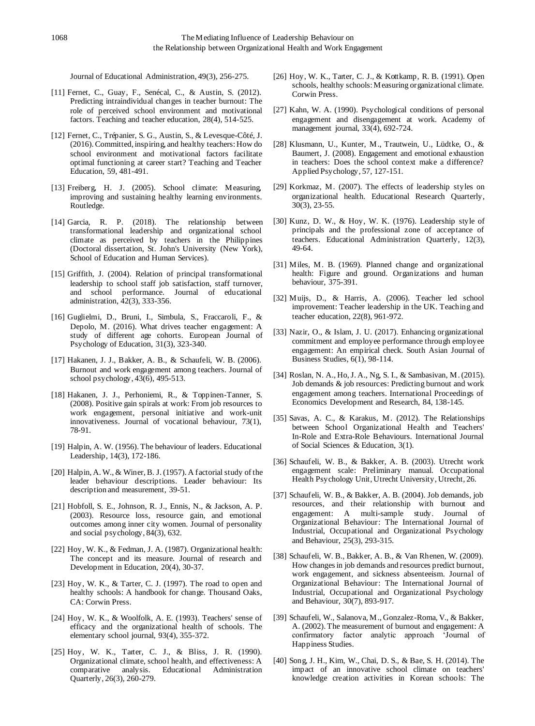Journal of Educational Administration, 49(3), 256-275.

- [11] Fernet, C., Guay, F., Sen écal, C., & Austin, S. (2012). Predicting intraindividual changes in teacher burnout: The role of perceived school environment and motivational factors. Teaching and teacher education, 28(4), 514-525.
- [12] Fernet, C., Trépanier, S. G., Austin, S., & Levesque-Côté, J. (2016). Committed, inspiring, and healthy teachers: How do school environment and motivational factors facilitate optimal functioning at career start? Teaching and Teacher Education, 59, 481-491.
- [13] Freiberg, H. J. (2005). School climate: Measuring, improving and sustaining healthy learning environments. Routledge.
- [14] Garcia, R. P. (2018). The relationship between transformational leadership and organizational school climate as perceived by teachers in the Philippines (Doctoral dissertation, St. John's University (New York), School of Education and Human Services).
- [15] Griffith, J. (2004). Relation of principal transformational leadership to school staff job satisfaction, staff turnover, and school performance. Journal of educational administration, 42(3), 333-356.
- [16] Guglielmi, D., Bruni, I., Simbula, S., Fraccaroli, F., & Depolo, M. (2016). What drives teacher engagement: A study of different age cohorts. European Journal of Psychology of Education, 31(3), 323-340.
- [17] Hakanen, J. J., Bakker, A. B., & Schaufeli, W. B. (2006). Burnout and work engagement among teachers. Journal of school psychology, 43(6), 495-513.
- [18] Hakanen, J. J., Perhoniemi, R., & Toppinen-Tanner, S. (2008). Positive gain spirals at work: From job resources to work engagement, personal initiative and work-unit innovativeness. Journal of vocational behaviour, 73(1), 78-91.
- [19] Halpin, A. W. (1956). The behaviour of leaders. Educational Leadership, 14(3), 172-186.
- [20] Halpin, A. W., & Winer, B. J. (1957). A factorial study of the leader behaviour descriptions. Leader behaviour: Its description and measurement, 39-51.
- [21] Hobfoll, S. E., Johnson, R. J., Ennis, N., & Jackson, A. P. (2003). Resource loss, resource gain, and emotional outcomes among inner city women. Journal of personality and social psychology, 84(3), 632.
- [22] Hoy, W. K., & Fedman, J. A. (1987). Organizational health: The concept and its measure. Journal of research and Development in Education, 20(4), 30-37.
- [23] Hoy, W. K., & Tarter, C. J. (1997). The road to open and healthy schools: A handbook for change. Thousand Oaks, CA: Corwin Press.
- [24] Hoy, W. K., & Woolfolk, A. E. (1993). Teachers' sense of efficacy and the organizational health of schools. The elementary school journal, 93(4), 355-372.
- [25] Hoy, W. K., Tatter, C. J., & Bliss, J. R. (1990). Organizational climate, school health, and effectiveness: A comparative analysis. Educational Administration Quarterly, 26(3), 260-279.
- [26] Hoy, W. K., Tarter, C. J., & Kottkamp, R. B. (1991). Open schools, healthy schools: Measuring organizational climate. Corwin Press.
- [27] Kahn, W. A. (1990). Psychological conditions of personal engagement and disengagement at work. Academy of management journal, 33(4), 692-724.
- [28] Klusmann, U., Kunter, M., Trautwein, U., Lüdtke, O., & Baumert, J. (2008). Engagement and emotional exhaustion in teachers: Does the school context make a difference? Applied Psychology, 57, 127-151.
- [29] Korkmaz, M. (2007). The effects of leadership styles on organizational health. Educational Research Quarterly, 30(3), 23-55.
- [30] Kunz, D. W., & Hoy, W. K. (1976). Leadership style of principals and the professional zone of acceptance of teachers. Educational Administration Quarterly, 12(3), 49-64.
- [31] Miles, M. B. (1969). Planned change and organizational health: Figure and ground. Organizations and human behaviour, 375-391.
- [32] Muijs, D., & Harris, A. (2006). Teacher led school improvement: Teacher leadership in the UK. Teaching and teacher education, 22(8), 961-972.
- [33] Nazir, O., & Islam, J. U. (2017). Enhancing organizational commitment and employee performance through employee engagement: An empirical check. South Asian Journal of Business Studies,  $6(1)$ , 98-114.
- [34] Roslan, N. A., Ho,J. A., Ng, S. I., & Sambasivan, M. (2015). Job demands & job resources: Predicting burnout and work engagement among teachers. International Proceedings of Economics Development and Research, 84, 138-145.
- [35] Savas, A. C., & Karakus, M. (2012). The Relationships between School Organizational Health and Teachers' In-Role and Extra-Role Behaviours. International Journal of Social Sciences & Education, 3(1).
- [36] Schaufeli, W. B., & Bakker, A. B. (2003). Utrecht work engagement scale: Preliminary manual. Occupational Health Psychology Unit, Utrecht University, Utrecht, 26.
- [37] Schaufeli, W. B., & Bakker, A. B. (2004). Job demands, job resources, and their relationship with burnout and engagement: A multi-sample study. Journal of Organizational Behaviour: The International Journal of Industrial, Occupational and Organizational Psychology and Behaviour, 25(3), 293-315.
- [38] Schaufeli, W. B., Bakker, A. B., & Van Rhenen, W. (2009). How changes in job demands and resources predict burnout, work engagement, and sickness absenteeism. Journal of Organizational Behaviour: The International Journal of Industrial, Occupational and Organizational Psychology and Behaviour, 30(7), 893-917.
- [39] Schaufeli, W., Salanova, M., Gonzalez-Roma, V., & Bakker, A. (2002). The measurement of burnout and engagement: A confirmatory factor analytic approach 'Journal of Happiness Studies.
- [40] Song, J. H., Kim, W., Chai, D. S., & Bae, S. H. (2014). The impact of an innovative school climate on teachers' knowledge creation activities in Korean schools: The